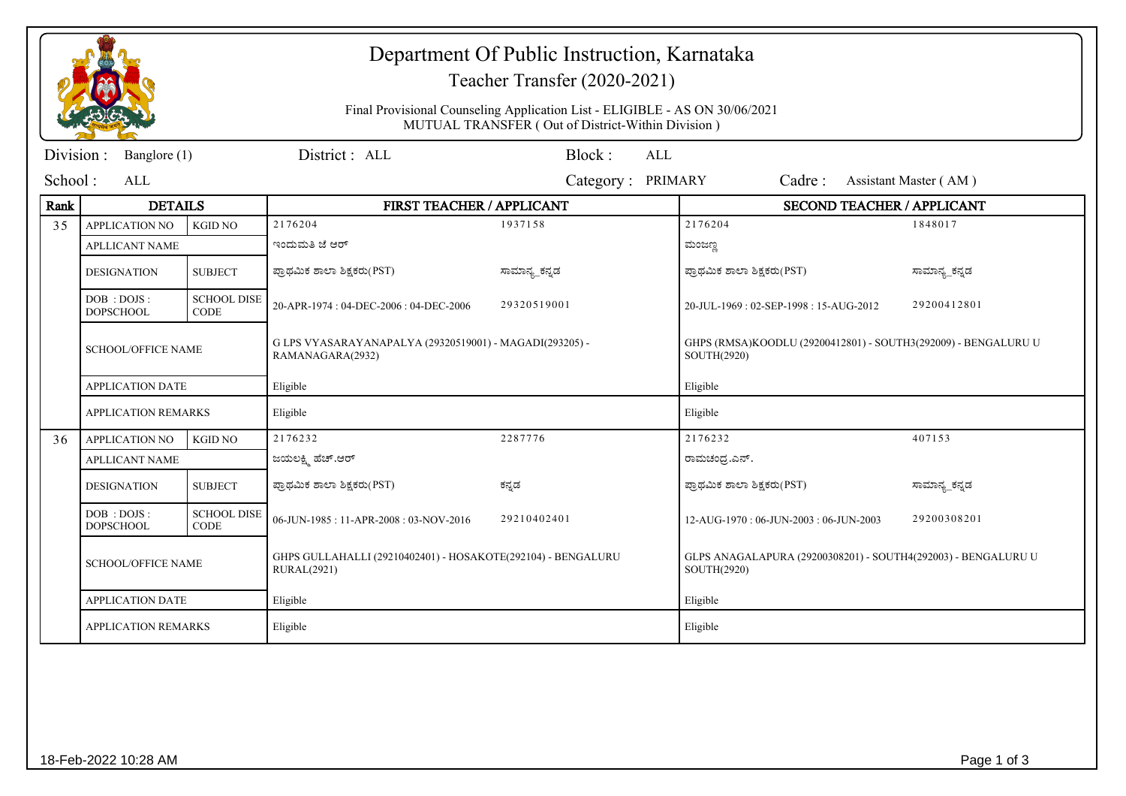|                        |                                  |                                   | Department Of Public Instruction, Karnataka<br>Teacher Transfer (2020-2021)<br>Final Provisional Counseling Application List - ELIGIBLE - AS ON 30/06/2021<br>MUTUAL TRANSFER (Out of District-Within Division) |                      |                                                                               |                       |  |
|------------------------|----------------------------------|-----------------------------------|-----------------------------------------------------------------------------------------------------------------------------------------------------------------------------------------------------------------|----------------------|-------------------------------------------------------------------------------|-----------------------|--|
| Division:              | Banglore (1)                     |                                   | District : ALL                                                                                                                                                                                                  | Block:<br><b>ALL</b> |                                                                               |                       |  |
| School:<br>ALL         |                                  |                                   |                                                                                                                                                                                                                 | Category: PRIMARY    | Cadre:                                                                        | Assistant Master (AM) |  |
| <b>DETAILS</b><br>Rank |                                  |                                   | FIRST TEACHER / APPLICANT                                                                                                                                                                                       |                      | <b>SECOND TEACHER / APPLICANT</b>                                             |                       |  |
| 35                     | <b>APPLICATION NO</b>            | <b>KGID NO</b>                    | 2176204                                                                                                                                                                                                         | 1937158              | 2176204                                                                       | 1848017               |  |
|                        | <b>APLLICANT NAME</b>            |                                   | ಇಂದುಮತಿ ಜೆ ಆರ್                                                                                                                                                                                                  |                      | ಮಂಜಣ್ಣ                                                                        |                       |  |
|                        | <b>DESIGNATION</b>               | <b>SUBJECT</b>                    | ಪ್ರಾಥಮಿಕ ಶಾಲಾ ಶಿಕ್ಷಕರು(PST)                                                                                                                                                                                     | ಸಾಮಾನ್ಯ_ಕನ್ನಡ        | ಪ್ರಾಥಮಿಕ ಶಾಲಾ ಶಿಕ್ಷಕರು(PST)                                                   | ಸಾಮಾನ್ಯ_ಕನ್ನಡ         |  |
|                        | DOB : DOJS :<br><b>DOPSCHOOL</b> | <b>SCHOOL DISE</b><br><b>CODE</b> | 20-APR-1974: 04-DEC-2006: 04-DEC-2006                                                                                                                                                                           | 29320519001          | 20-JUL-1969: 02-SEP-1998: 15-AUG-2012                                         | 29200412801           |  |
|                        | <b>SCHOOL/OFFICE NAME</b>        |                                   | G LPS VYASARAYANAPALYA (29320519001) - MAGADI(293205) -<br>RAMANAGARA(2932)                                                                                                                                     |                      | GHPS (RMSA)KOODLU (29200412801) - SOUTH3(292009) - BENGALURU U<br>SOUTH(2920) |                       |  |
|                        | <b>APPLICATION DATE</b>          |                                   | Eligible                                                                                                                                                                                                        |                      | Eligible                                                                      |                       |  |
|                        | <b>APPLICATION REMARKS</b>       |                                   | Eligible                                                                                                                                                                                                        |                      | Eligible                                                                      |                       |  |
| 36                     | <b>APPLICATION NO</b>            | <b>KGID NO</b>                    | 2176232                                                                                                                                                                                                         | 2287776              | 2176232                                                                       | 407153                |  |
|                        | <b>APLLICANT NAME</b>            |                                   | ಜಯಲಕ್ಷ್ರಿ ಹೆಚ್.ಆರ್                                                                                                                                                                                              |                      | ರಾಮಚಂದ್ರ.ಎನ್.                                                                 |                       |  |
|                        | <b>DESIGNATION</b>               | <b>SUBJECT</b>                    | ಪ್ರಾಥಮಿಕ ಶಾಲಾ ಶಿಕ್ಷಕರು(PST)                                                                                                                                                                                     | ಕನ್ನಡ                | ಪ್ರಾಥಮಿಕ ಶಾಲಾ ಶಿಕ್ಷಕರು(PST)                                                   | ಸಾಮಾನ್ಯ_ಕನ್ನಡ         |  |
|                        | DOB : DOJS :<br><b>DOPSCHOOL</b> | <b>SCHOOL DISE</b><br><b>CODE</b> | 06-JUN-1985: 11-APR-2008: 03-NOV-2016                                                                                                                                                                           | 29210402401          | 12-AUG-1970: 06-JUN-2003: 06-JUN-2003                                         | 29200308201           |  |
|                        | <b>SCHOOL/OFFICE NAME</b>        |                                   | GHPS GULLAHALLI (29210402401) - HOSAKOTE(292104) - BENGALURU<br><b>RURAL(2921)</b>                                                                                                                              |                      | GLPS ANAGALAPURA (29200308201) - SOUTH4(292003) - BENGALURU U<br>SOUTH(2920)  |                       |  |
|                        | <b>APPLICATION DATE</b>          |                                   | Eligible                                                                                                                                                                                                        |                      | Eligible                                                                      |                       |  |
|                        | <b>APPLICATION REMARKS</b>       |                                   | Eligible                                                                                                                                                                                                        |                      | Eligible                                                                      |                       |  |
|                        |                                  |                                   |                                                                                                                                                                                                                 |                      |                                                                               |                       |  |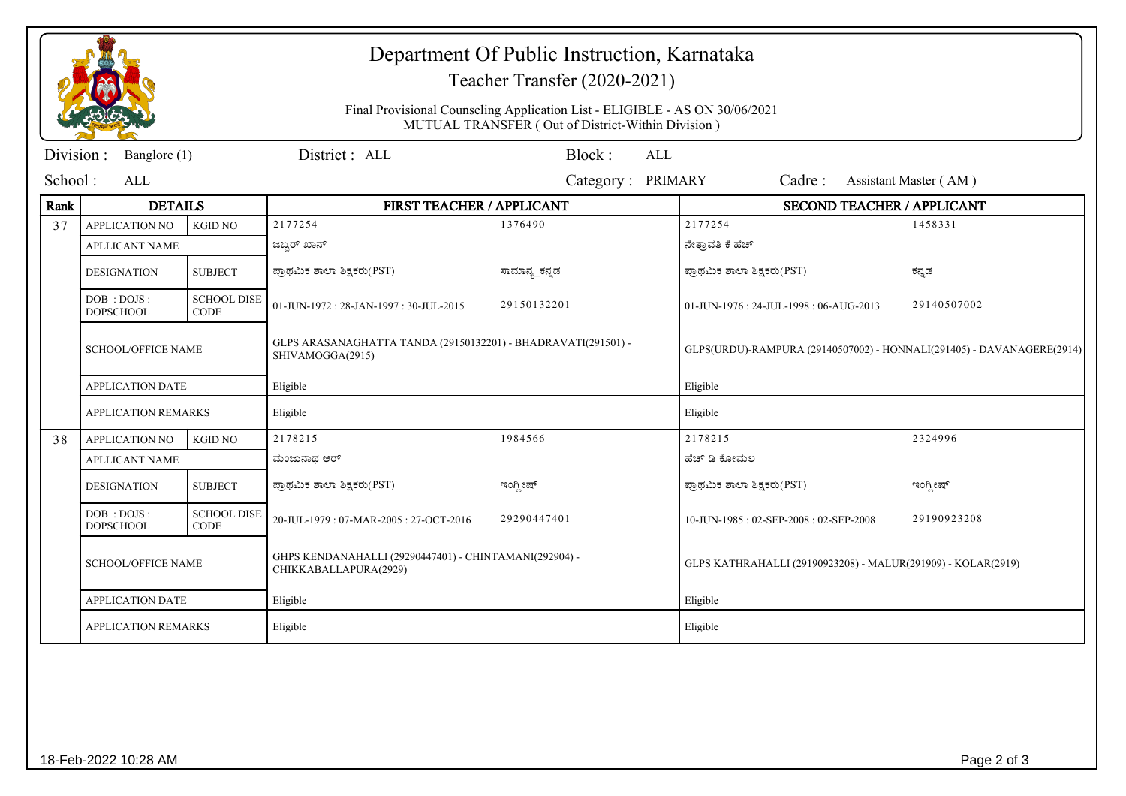|                           |                                  |                                   | Department Of Public Instruction, Karnataka<br>Teacher Transfer (2020-2021)<br>Final Provisional Counseling Application List - ELIGIBLE - AS ON 30/06/2021<br>MUTUAL TRANSFER (Out of District-Within Division) |                   |                                                                       |                                         |                       |
|---------------------------|----------------------------------|-----------------------------------|-----------------------------------------------------------------------------------------------------------------------------------------------------------------------------------------------------------------|-------------------|-----------------------------------------------------------------------|-----------------------------------------|-----------------------|
| Division:<br>Banglore (1) |                                  |                                   | District: ALL                                                                                                                                                                                                   | Block:            | <b>ALL</b>                                                            |                                         |                       |
| School:                   | ALL                              |                                   |                                                                                                                                                                                                                 | Category: PRIMARY |                                                                       | Cadre:                                  | Assistant Master (AM) |
| Rank                      | <b>DETAILS</b>                   |                                   | FIRST TEACHER / APPLICANT                                                                                                                                                                                       |                   | <b>SECOND TEACHER / APPLICANT</b>                                     |                                         |                       |
| 37                        | <b>APPLICATION NO</b>            | <b>KGID NO</b>                    | 2177254                                                                                                                                                                                                         | 1376490           |                                                                       | 2177254                                 | 1458331               |
|                           | <b>APLLICANT NAME</b>            |                                   | ಜಬ್ಬರ್ ಖಾನ್                                                                                                                                                                                                     |                   |                                                                       | ನೇತ್ರಾವತಿ ಕೆ ಹೆಚ್                       |                       |
|                           | <b>DESIGNATION</b>               | <b>SUBJECT</b>                    | ಪ್ರಾಥಮಿಕ ಶಾಲಾ ಶಿಕ್ಷಕರು(PST)                                                                                                                                                                                     | ಸಾಮಾನ್ಯ_ಕನ್ನಡ     |                                                                       | ಪ್ರಾಥಮಿಕ ಶಾಲಾ ಶಿಕ್ಷಕರು(PST)             | ಕನ್ನಡ                 |
|                           | DOB : DOJS :<br><b>DOPSCHOOL</b> | <b>SCHOOL DISE</b><br><b>CODE</b> | 01-JUN-1972: 28-JAN-1997: 30-JUL-2015                                                                                                                                                                           | 29150132201       |                                                                       | 01-JUN-1976 : 24-JUL-1998 : 06-AUG-2013 | 29140507002           |
|                           | <b>SCHOOL/OFFICE NAME</b>        |                                   | GLPS ARASANAGHATTA TANDA (29150132201) - BHADRAVATI(291501) -<br>SHIVAMOGGA(2915)                                                                                                                               |                   | GLPS(URDU)-RAMPURA (29140507002) - HONNALI(291405) - DAVANAGERE(2914) |                                         |                       |
|                           | <b>APPLICATION DATE</b>          |                                   | Eligible                                                                                                                                                                                                        |                   | Eligible                                                              |                                         |                       |
|                           | <b>APPLICATION REMARKS</b>       |                                   | Eligible                                                                                                                                                                                                        |                   |                                                                       | Eligible                                |                       |
| 38                        | <b>APPLICATION NO</b>            | <b>KGID NO</b>                    | 2178215                                                                                                                                                                                                         | 1984566           |                                                                       | 2178215                                 | 2324996               |
|                           | <b>APLLICANT NAME</b>            |                                   | ಮಂಜುನಾಥ ಆರ್                                                                                                                                                                                                     |                   |                                                                       | ಹೆಚ್ ಡಿ ಕೋಮಲ                            |                       |
|                           | <b>DESIGNATION</b>               | <b>SUBJECT</b>                    | ಪ್ರಾಥಮಿಕ ಶಾಲಾ ಶಿಕ್ಷಕರು(PST)                                                                                                                                                                                     | ಇಂಗ್ಲೀಷ್          |                                                                       | ಪ್ರಾಥಮಿಕ ಶಾಲಾ ಶಿಕ್ಷಕರು(PST)             | ಇಂಗ್ಲೀಷ್              |
|                           | DOB: DOJS:<br><b>DOPSCHOOL</b>   | <b>SCHOOL DISE</b><br><b>CODE</b> | 20-JUL-1979: 07-MAR-2005: 27-OCT-2016                                                                                                                                                                           | 29290447401       |                                                                       | 10-JUN-1985: 02-SEP-2008: 02-SEP-2008   | 29190923208           |
|                           | <b>SCHOOL/OFFICE NAME</b>        |                                   | GHPS KENDANAHALLI (29290447401) - CHINTAMANI(292904) -<br>CHIKKABALLAPURA(2929)                                                                                                                                 |                   | GLPS KATHRAHALLI (29190923208) - MALUR(291909) - KOLAR(2919)          |                                         |                       |
|                           | <b>APPLICATION DATE</b>          |                                   | Eligible                                                                                                                                                                                                        |                   | Eligible                                                              |                                         |                       |
|                           | <b>APPLICATION REMARKS</b>       |                                   | Eligible                                                                                                                                                                                                        |                   | Eligible                                                              |                                         |                       |